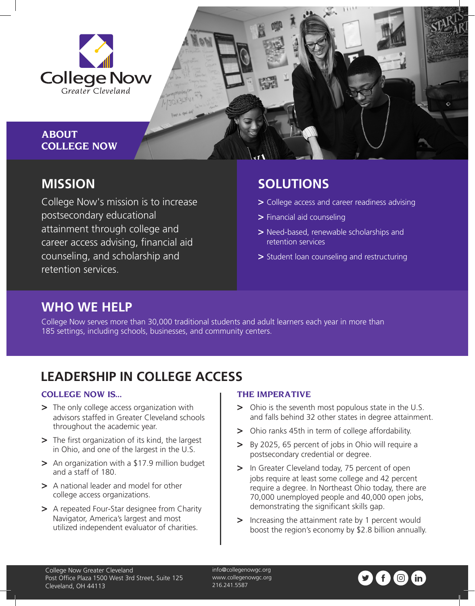

#### **MISSION**

College Now's mission is to increase postsecondary educational attainment through college and career access advising, financial aid counseling, and scholarship and retention services.

#### **SOLUTIONS**

- **>** College access and career readiness advising
- **>** Financial aid counseling
- **>** Need-based, renewable scholarships and retention services
- **>** Student loan counseling and restructuring

#### **WHO WE HELP**

College Now serves more than 30,000 traditional students and adult learners each year in more than 185 settings, including schools, businesses, and community centers.

#### **LEADERSHIP IN COLLEGE ACCESS**

#### **COLLEGE NOW IS…**

- **>** The only college access organization with advisors staffed in Greater Cleveland schools throughout the academic year.
- **>** The first organization of its kind, the largest in Ohio, and one of the largest in the U.S.
- **>** An organization with a \$17.9 million budget and a staff of 180.
- **>** A national leader and model for other college access organizations.
- **>** A repeated Four-Star designee from Charity Navigator, America's largest and most utilized independent evaluator of charities.

#### **THE IMPERATIVE**

- **>** Ohio is the seventh most populous state in the U.S. and falls behind 32 other states in degree attainment.
- **>** Ohio ranks 45th in term of college affordability.
- **>** By 2025, 65 percent of jobs in Ohio will require a postsecondary credential or degree.
- **>** In Greater Cleveland today, 75 percent of open jobs require at least some college and 42 percent require a degree. In Northeast Ohio today, there are 70,000 unemployed people and 40,000 open jobs, demonstrating the significant skills gap.
- **>** Increasing the attainment rate by 1 percent would boost the region's economy by \$2.8 billion annually.

ල)

in

info@collegenowgc.org www.collegenowgc.org 216.241.5587